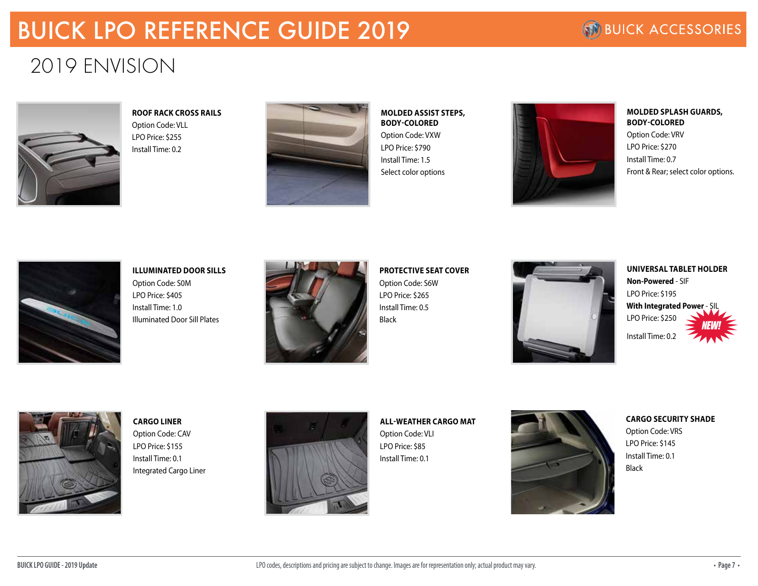# BUICK LPO REFERENCE GUIDE 2019

## 2019 ENVISION



**ROOF RACK CROSS RAILS** Option Code: VLL LPO Price: \$255 Install Time: 0.2



**MOLDED ASSIST STEPS, BODY-COLORED** Option Code: VXW LPO Price: \$790 Install Time: 1.5 Select color options



**MOLDED SPLASH GUARDS, BODY-COLORED** Option Code: VRV LPO Price: \$270 Install Time: 0.7 Front & Rear; select color options.



**ILLUMINATED DOOR SILLS** Option Code: S0M LPO Price: \$405 Install Time: 1.0 Illuminated Door Sill Plates



**PROTECTIVE SEAT COVER** Option Code: S6W LPO Price: \$265 Install Time: 0.5 Black



**UNIVERSAL TABLET HOLDER Non-Powered** - SIF LPO Price: \$195 **With Integrated Power - SI** LPO Price: \$250 Install Time: 0.2 *NEW!*



**CARGO LINER**

Option Code: CAV LPO Price: \$155 Install Time: 0.1 Integrated Cargo Liner



### **ALL-WEATHER CARGO MAT**

Option Code: VLI LPO Price: \$85 Install Time: 0.1



**CARGO SECURITY SHADE** Option Code: VRS LPO Price: \$145

Install Time: 0.1

Black